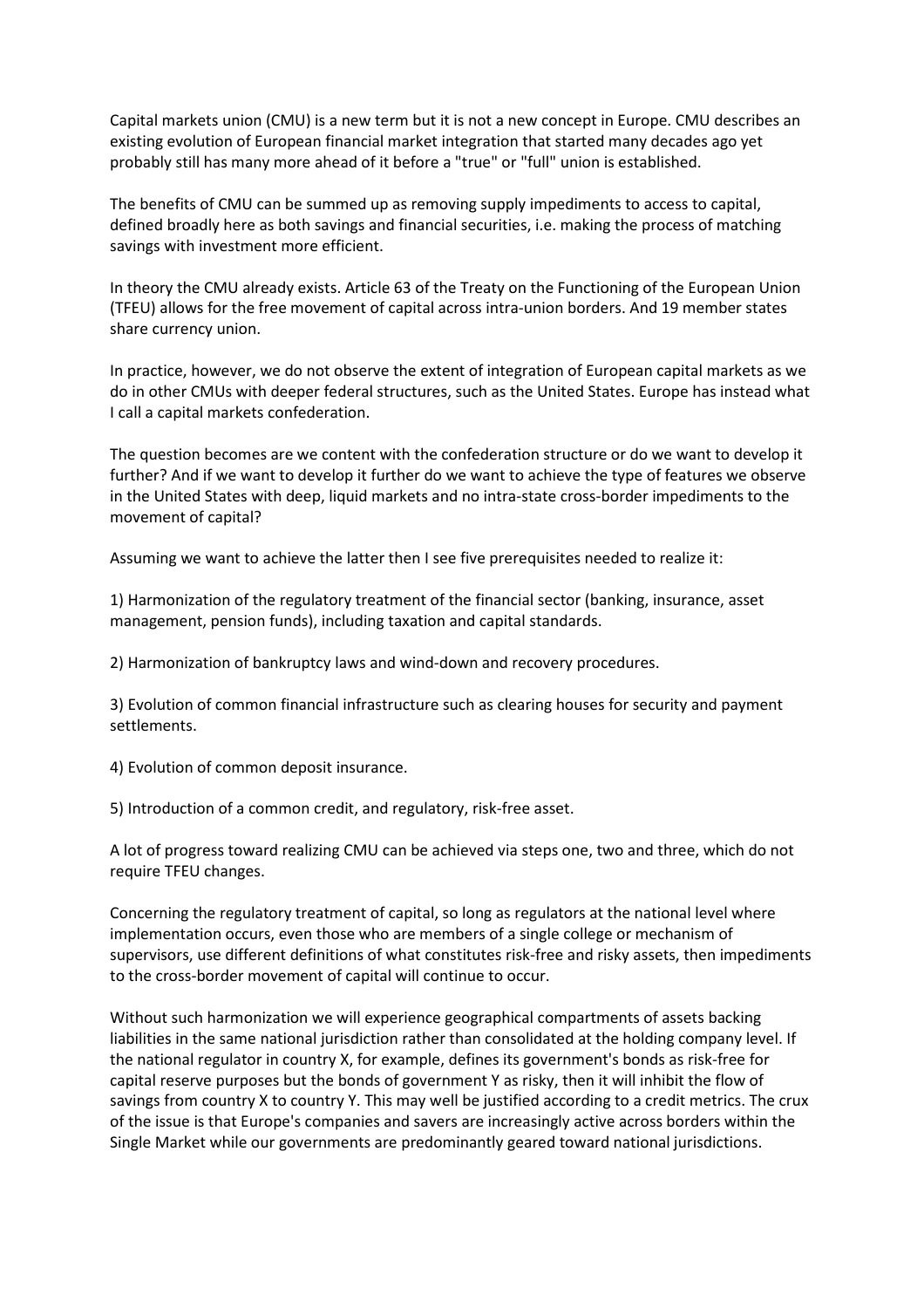Capital markets union (CMU) is a new term but it is not a new concept in Europe. CMU describes an existing evolution of European financial market integration that started many decades ago yet probably still has many more ahead of it before a "true" or "full" union is established.

The benefits of CMU can be summed up as removing supply impediments to access to capital, defined broadly here as both savings and financial securities, i.e. making the process of matching savings with investment more efficient.

In theory the CMU already exists. Article 63 of the Treaty on the Functioning of the European Union (TFEU) allows for the free movement of capital across intra-union borders. And 19 member states share currency union.

In practice, however, we do not observe the extent of integration of European capital markets as we do in other CMUs with deeper federal structures, such as the United States. Europe has instead what I call a capital markets confederation.

The question becomes are we content with the confederation structure or do we want to develop it further? And if we want to develop it further do we want to achieve the type of features we observe in the United States with deep, liquid markets and no intra-state cross-border impediments to the movement of capital?

Assuming we want to achieve the latter then I see five prerequisites needed to realize it:

1) Harmonization of the regulatory treatment of the financial sector (banking, insurance, asset management, pension funds), including taxation and capital standards.

2) Harmonization of bankruptcy laws and wind-down and recovery procedures.

3) Evolution of common financial infrastructure such as clearing houses for security and payment settlements.

4) Evolution of common deposit insurance.

5) Introduction of a common credit, and regulatory, risk-free asset.

A lot of progress toward realizing CMU can be achieved via steps one, two and three, which do not require TFEU changes.

Concerning the regulatory treatment of capital, so long as regulators at the national level where implementation occurs, even those who are members of a single college or mechanism of supervisors, use different definitions of what constitutes risk-free and risky assets, then impediments to the cross-border movement of capital will continue to occur.

Without such harmonization we will experience geographical compartments of assets backing liabilities in the same national jurisdiction rather than consolidated at the holding company level. If the national regulator in country X, for example, defines its government's bonds as risk-free for capital reserve purposes but the bonds of government Y as risky, then it will inhibit the flow of savings from country X to country Y. This may well be justified according to a credit metrics. The crux of the issue is that Europe's companies and savers are increasingly active across borders within the Single Market while our governments are predominantly geared toward national jurisdictions.